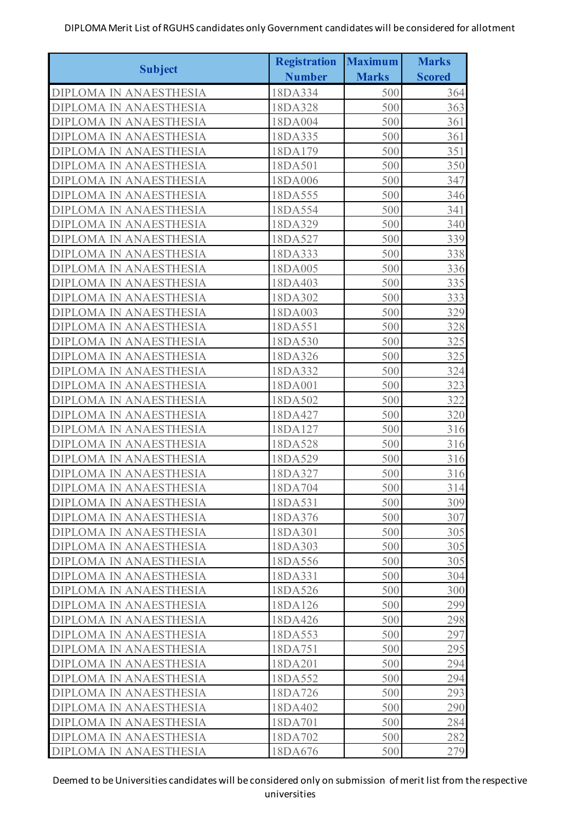|                               | <b>Registration</b> | <b>Maximum</b> | <b>Marks</b>  |
|-------------------------------|---------------------|----------------|---------------|
| <b>Subject</b>                | <b>Number</b>       | <b>Marks</b>   | <b>Scored</b> |
| DIPLOMA IN ANAESTHESIA        | 18DA334             | 500            | 364           |
| DIPLOMA IN ANAESTHESIA        | 18DA328             | 500            | 363           |
| DIPLOMA IN ANAESTHESIA        | 18DA004             | 500            | 361           |
| DIPLOMA IN ANAESTHESIA        | 18DA335             | 500            | 361           |
| DIPLOMA IN ANAESTHESIA        | 18DA179             | 500            | 351           |
| <b>DIPLOMA IN ANAESTHESIA</b> | 18DA501             | 500            | 350           |
| <b>DIPLOMA IN ANAESTHESIA</b> | 18DA006             | 500            | 347           |
| DIPLOMA IN ANAESTHESIA        | 18DA555             | 500            | 346           |
| DIPLOMA IN ANAESTHESIA        | 18DA554             | 500            | 341           |
| DIPLOMA IN ANAESTHESIA        | 18DA329             | 500            | 340           |
| DIPLOMA IN ANAESTHESIA        | 18DA527             | 500            | 339           |
| DIPLOMA IN ANAESTHESIA        | 18DA333             | 500            | 338           |
| DIPLOMA IN ANAESTHESIA        | 18DA005             | 500            | 336           |
| DIPLOMA IN ANAESTHESIA        | 18DA403             | 500            | 335           |
| DIPLOMA IN ANAESTHESIA        | 18DA302             | 500            | 333           |
| DIPLOMA IN ANAESTHESIA        | 18DA003             | 500            | 329           |
| DIPLOMA IN ANAESTHESIA        | 18DA551             | 500            | 328           |
| DIPLOMA IN ANAESTHESIA        | 18DA530             | 500            | 325           |
| DIPLOMA IN ANAESTHESIA        | 18DA326             | 500            | 325           |
| DIPLOMA IN ANAESTHESIA        | 18DA332             | 500            | 324           |
| DIPLOMA IN ANAESTHESIA        | 18DA001             | 500            | 323           |
| <b>DIPLOMA IN ANAESTHESIA</b> | 18DA502             | 500            | 322           |
| DIPLOMA IN ANAESTHESIA        | 18DA427             | 500            | 320           |
| DIPLOMA IN ANAESTHESIA        | 18DA127             | 500            | 316           |
| <b>DIPLOMA IN ANAESTHESIA</b> | 18DA528             | 500            | 316           |
| <b>DIPLOMA IN ANAESTHESIA</b> | 18DA529             | 500            | 316           |
| DIPLOMA IN ANAESTHESIA        | 18DA327             | 500            | 316           |
| <b>DIPLOMA IN ANAESTHESIA</b> | 18DA704             | 500            | 314           |
| <b>DIPLOMA IN ANAESTHESIA</b> | 18DA531             | 500            | 309           |
| <b>DIPLOMA IN ANAESTHESIA</b> | 18DA376             | 500            | 307           |
| <b>DIPLOMA IN ANAESTHESIA</b> | 18DA301             | 500            | 305           |
| <b>DIPLOMA IN ANAESTHESIA</b> | 18DA303             | 500            | 305           |
| <b>DIPLOMA IN ANAESTHESIA</b> | 18DA556             | 500            | 305           |
| <b>DIPLOMA IN ANAESTHESIA</b> | 18DA331             | 500            | 304           |
| <b>DIPLOMA IN ANAESTHESIA</b> | 18DA526             | 500            | 300           |
| <b>DIPLOMA IN ANAESTHESIA</b> | 18DA126             | 500            | 299           |
| <b>DIPLOMA IN ANAESTHESIA</b> | 18DA426             | 500            | 298           |
| <b>DIPLOMA IN ANAESTHESIA</b> | 18DA553             | 500            | 297           |
| <b>DIPLOMA IN ANAESTHESIA</b> | 18DA751             | 500            | 295           |
| <b>DIPLOMA IN ANAESTHESIA</b> | 18DA201             | 500            | 294           |
| <b>DIPLOMA IN ANAESTHESIA</b> | 18DA552             | 500            | 294           |
|                               |                     |                |               |
| <b>DIPLOMA IN ANAESTHESIA</b> | 18DA726             | 500            | 293           |
| <b>DIPLOMA IN ANAESTHESIA</b> | 18DA402             | 500            | 290           |
| <b>DIPLOMA IN ANAESTHESIA</b> | 18DA701             | 500            | 284           |
| <b>DIPLOMA IN ANAESTHESIA</b> | 18DA702             | 500            | 282           |
| <b>DIPLOMA IN ANAESTHESIA</b> | 18DA676             | 500            | 279           |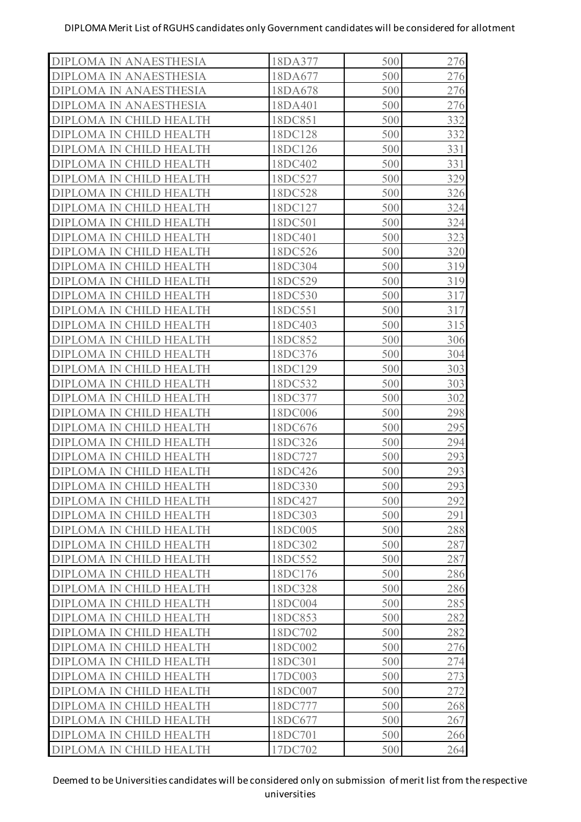| 500<br>18DA677<br>500<br>18DA678<br>500<br>18DA401<br>500<br>18DC851<br>500<br>18DC128<br>500<br>18DC126<br>500<br>18DC402<br>500<br>18DC527<br>500<br>18DC528<br>500<br>18DC127<br>500<br>18DC501<br>500<br>18DC401<br>500<br>18DC526<br>500<br>18DC304<br>500<br>18DC529<br>500<br>18DC530<br>18DC551<br>500<br>500<br>18DC403<br>18DC852<br>500<br>500<br>18DC376<br>500<br>18DC129<br>500<br>18DC532<br>18DC377<br>500<br>500<br>18DC006<br>500<br>18DC676<br>500<br>18DC326<br>500<br>18DC727<br>500<br>18DC426<br>500<br>18DC330<br>18DC427<br>500<br>500<br>18DC303<br>18DC005<br>500<br>500<br>18DC302<br>500<br>18DC552<br>18DC176<br>500<br>18DC328<br>500<br>18DC004<br>500<br>500<br>18DC853<br>18DC702<br>500<br>18DC002<br>500<br>18DC301<br>500<br>500<br>17DC003<br>18DC007<br>500<br>18DC777<br>500<br>18DC677<br>500<br>500<br>18DC701<br>17DC702<br>500 | <b>DIPLOMA IN ANAESTHESIA</b> | 18DA377 | 500 | 276 |
|----------------------------------------------------------------------------------------------------------------------------------------------------------------------------------------------------------------------------------------------------------------------------------------------------------------------------------------------------------------------------------------------------------------------------------------------------------------------------------------------------------------------------------------------------------------------------------------------------------------------------------------------------------------------------------------------------------------------------------------------------------------------------------------------------------------------------------------------------------------------------|-------------------------------|---------|-----|-----|
|                                                                                                                                                                                                                                                                                                                                                                                                                                                                                                                                                                                                                                                                                                                                                                                                                                                                            | <b>DIPLOMA IN ANAESTHESIA</b> |         |     | 276 |
|                                                                                                                                                                                                                                                                                                                                                                                                                                                                                                                                                                                                                                                                                                                                                                                                                                                                            | <b>DIPLOMA IN ANAESTHESIA</b> |         |     | 276 |
|                                                                                                                                                                                                                                                                                                                                                                                                                                                                                                                                                                                                                                                                                                                                                                                                                                                                            | DIPLOMA IN ANAESTHESIA        |         |     | 276 |
|                                                                                                                                                                                                                                                                                                                                                                                                                                                                                                                                                                                                                                                                                                                                                                                                                                                                            | DIPLOMA IN CHILD HEALTH       |         |     | 332 |
|                                                                                                                                                                                                                                                                                                                                                                                                                                                                                                                                                                                                                                                                                                                                                                                                                                                                            | DIPLOMA IN CHILD HEALTH       |         |     | 332 |
|                                                                                                                                                                                                                                                                                                                                                                                                                                                                                                                                                                                                                                                                                                                                                                                                                                                                            | DIPLOMA IN CHILD HEALTH       |         |     | 331 |
|                                                                                                                                                                                                                                                                                                                                                                                                                                                                                                                                                                                                                                                                                                                                                                                                                                                                            | DIPLOMA IN CHILD HEALTH       |         |     | 331 |
|                                                                                                                                                                                                                                                                                                                                                                                                                                                                                                                                                                                                                                                                                                                                                                                                                                                                            | DIPLOMA IN CHILD HEALTH       |         |     | 329 |
|                                                                                                                                                                                                                                                                                                                                                                                                                                                                                                                                                                                                                                                                                                                                                                                                                                                                            | DIPLOMA IN CHILD HEALTH       |         |     | 326 |
|                                                                                                                                                                                                                                                                                                                                                                                                                                                                                                                                                                                                                                                                                                                                                                                                                                                                            | DIPLOMA IN CHILD HEALTH       |         |     | 324 |
|                                                                                                                                                                                                                                                                                                                                                                                                                                                                                                                                                                                                                                                                                                                                                                                                                                                                            | DIPLOMA IN CHILD HEALTH       |         |     | 324 |
|                                                                                                                                                                                                                                                                                                                                                                                                                                                                                                                                                                                                                                                                                                                                                                                                                                                                            | DIPLOMA IN CHILD HEALTH       |         |     | 323 |
|                                                                                                                                                                                                                                                                                                                                                                                                                                                                                                                                                                                                                                                                                                                                                                                                                                                                            | DIPLOMA IN CHILD HEALTH       |         |     | 320 |
|                                                                                                                                                                                                                                                                                                                                                                                                                                                                                                                                                                                                                                                                                                                                                                                                                                                                            | DIPLOMA IN CHILD HEALTH       |         |     | 319 |
|                                                                                                                                                                                                                                                                                                                                                                                                                                                                                                                                                                                                                                                                                                                                                                                                                                                                            | DIPLOMA IN CHILD HEALTH       |         |     | 319 |
|                                                                                                                                                                                                                                                                                                                                                                                                                                                                                                                                                                                                                                                                                                                                                                                                                                                                            | DIPLOMA IN CHILD HEALTH       |         |     | 317 |
|                                                                                                                                                                                                                                                                                                                                                                                                                                                                                                                                                                                                                                                                                                                                                                                                                                                                            | DIPLOMA IN CHILD HEALTH       |         |     | 317 |
|                                                                                                                                                                                                                                                                                                                                                                                                                                                                                                                                                                                                                                                                                                                                                                                                                                                                            | DIPLOMA IN CHILD HEALTH       |         |     | 315 |
|                                                                                                                                                                                                                                                                                                                                                                                                                                                                                                                                                                                                                                                                                                                                                                                                                                                                            | DIPLOMA IN CHILD HEALTH       |         |     | 306 |
|                                                                                                                                                                                                                                                                                                                                                                                                                                                                                                                                                                                                                                                                                                                                                                                                                                                                            | DIPLOMA IN CHILD HEALTH       |         |     | 304 |
|                                                                                                                                                                                                                                                                                                                                                                                                                                                                                                                                                                                                                                                                                                                                                                                                                                                                            | DIPLOMA IN CHILD HEALTH       |         |     | 303 |
|                                                                                                                                                                                                                                                                                                                                                                                                                                                                                                                                                                                                                                                                                                                                                                                                                                                                            | DIPLOMA IN CHILD HEALTH       |         |     | 303 |
|                                                                                                                                                                                                                                                                                                                                                                                                                                                                                                                                                                                                                                                                                                                                                                                                                                                                            | DIPLOMA IN CHILD HEALTH       |         |     | 302 |
|                                                                                                                                                                                                                                                                                                                                                                                                                                                                                                                                                                                                                                                                                                                                                                                                                                                                            | DIPLOMA IN CHILD HEALTH       |         |     | 298 |
|                                                                                                                                                                                                                                                                                                                                                                                                                                                                                                                                                                                                                                                                                                                                                                                                                                                                            | DIPLOMA IN CHILD HEALTH       |         |     | 295 |
|                                                                                                                                                                                                                                                                                                                                                                                                                                                                                                                                                                                                                                                                                                                                                                                                                                                                            | DIPLOMA IN CHILD HEALTH       |         |     | 294 |
|                                                                                                                                                                                                                                                                                                                                                                                                                                                                                                                                                                                                                                                                                                                                                                                                                                                                            | DIPLOMA IN CHILD HEALTH       |         |     | 293 |
|                                                                                                                                                                                                                                                                                                                                                                                                                                                                                                                                                                                                                                                                                                                                                                                                                                                                            | DIPLOMA IN CHILD HEALTH       |         |     | 293 |
|                                                                                                                                                                                                                                                                                                                                                                                                                                                                                                                                                                                                                                                                                                                                                                                                                                                                            | DIPLOMA IN CHILD HEALTH       |         |     | 293 |
|                                                                                                                                                                                                                                                                                                                                                                                                                                                                                                                                                                                                                                                                                                                                                                                                                                                                            | DIPLOMA IN CHILD HEALTH       |         |     | 292 |
|                                                                                                                                                                                                                                                                                                                                                                                                                                                                                                                                                                                                                                                                                                                                                                                                                                                                            | DIPLOMA IN CHILD HEALTH       |         |     | 291 |
|                                                                                                                                                                                                                                                                                                                                                                                                                                                                                                                                                                                                                                                                                                                                                                                                                                                                            | DIPLOMA IN CHILD HEALTH       |         |     | 288 |
|                                                                                                                                                                                                                                                                                                                                                                                                                                                                                                                                                                                                                                                                                                                                                                                                                                                                            | DIPLOMA IN CHILD HEALTH       |         |     | 287 |
|                                                                                                                                                                                                                                                                                                                                                                                                                                                                                                                                                                                                                                                                                                                                                                                                                                                                            | DIPLOMA IN CHILD HEALTH       |         |     | 287 |
|                                                                                                                                                                                                                                                                                                                                                                                                                                                                                                                                                                                                                                                                                                                                                                                                                                                                            | DIPLOMA IN CHILD HEALTH       |         |     | 286 |
|                                                                                                                                                                                                                                                                                                                                                                                                                                                                                                                                                                                                                                                                                                                                                                                                                                                                            | DIPLOMA IN CHILD HEALTH       |         |     | 286 |
|                                                                                                                                                                                                                                                                                                                                                                                                                                                                                                                                                                                                                                                                                                                                                                                                                                                                            | DIPLOMA IN CHILD HEALTH       |         |     | 285 |
|                                                                                                                                                                                                                                                                                                                                                                                                                                                                                                                                                                                                                                                                                                                                                                                                                                                                            | DIPLOMA IN CHILD HEALTH       |         |     | 282 |
|                                                                                                                                                                                                                                                                                                                                                                                                                                                                                                                                                                                                                                                                                                                                                                                                                                                                            | DIPLOMA IN CHILD HEALTH       |         |     | 282 |
|                                                                                                                                                                                                                                                                                                                                                                                                                                                                                                                                                                                                                                                                                                                                                                                                                                                                            | DIPLOMA IN CHILD HEALTH       |         |     | 276 |
|                                                                                                                                                                                                                                                                                                                                                                                                                                                                                                                                                                                                                                                                                                                                                                                                                                                                            | DIPLOMA IN CHILD HEALTH       |         |     | 274 |
|                                                                                                                                                                                                                                                                                                                                                                                                                                                                                                                                                                                                                                                                                                                                                                                                                                                                            | DIPLOMA IN CHILD HEALTH       |         |     | 273 |
|                                                                                                                                                                                                                                                                                                                                                                                                                                                                                                                                                                                                                                                                                                                                                                                                                                                                            | DIPLOMA IN CHILD HEALTH       |         |     | 272 |
|                                                                                                                                                                                                                                                                                                                                                                                                                                                                                                                                                                                                                                                                                                                                                                                                                                                                            | DIPLOMA IN CHILD HEALTH       |         |     | 268 |
|                                                                                                                                                                                                                                                                                                                                                                                                                                                                                                                                                                                                                                                                                                                                                                                                                                                                            | DIPLOMA IN CHILD HEALTH       |         |     | 267 |
|                                                                                                                                                                                                                                                                                                                                                                                                                                                                                                                                                                                                                                                                                                                                                                                                                                                                            | DIPLOMA IN CHILD HEALTH       |         |     | 266 |
|                                                                                                                                                                                                                                                                                                                                                                                                                                                                                                                                                                                                                                                                                                                                                                                                                                                                            | DIPLOMA IN CHILD HEALTH       |         |     | 264 |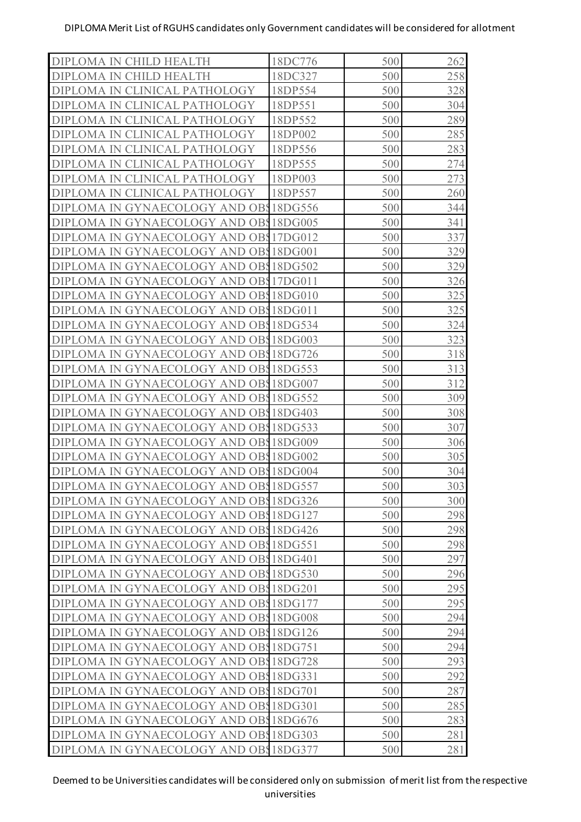| DIPLOMA IN CHILD HEALTH               | 18DC776 | 500 | 262 |
|---------------------------------------|---------|-----|-----|
| DIPLOMA IN CHILD HEALTH               | 18DC327 | 500 | 258 |
| DIPLOMA IN CLINICAL PATHOLOGY         | 18DP554 | 500 | 328 |
| DIPLOMA IN CLINICAL PATHOLOGY         | 18DP551 | 500 | 304 |
| DIPLOMA IN CLINICAL PATHOLOGY         | 18DP552 | 500 | 289 |
| DIPLOMA IN CLINICAL PATHOLOGY         | 18DP002 | 500 | 285 |
| DIPLOMA IN CLINICAL PATHOLOGY         | 18DP556 | 500 | 283 |
| DIPLOMA IN CLINICAL PATHOLOGY         | 18DP555 | 500 | 274 |
| DIPLOMA IN CLINICAL PATHOLOGY         | 18DP003 | 500 | 273 |
| DIPLOMA IN CLINICAL PATHOLOGY         | 18DP557 | 500 | 260 |
| DIPLOMA IN GYNAECOLOGY AND OB 18DG556 |         | 500 | 344 |
| DIPLOMA IN GYNAECOLOGY AND OB 18DG005 |         | 500 | 341 |
| DIPLOMA IN GYNAECOLOGY AND OB 17DG012 |         | 500 | 337 |
| DIPLOMA IN GYNAECOLOGY AND OB 18DG001 |         | 500 | 329 |
| DIPLOMA IN GYNAECOLOGY AND OB 18DG502 |         | 500 | 329 |
| DIPLOMA IN GYNAECOLOGY AND OB 17DG011 |         | 500 | 326 |
| DIPLOMA IN GYNAECOLOGY AND OB 18DG010 |         | 500 | 325 |
| DIPLOMA IN GYNAECOLOGY AND OB 18DG011 |         | 500 | 325 |
| DIPLOMA IN GYNAECOLOGY AND OB 18DG534 |         | 500 | 324 |
| DIPLOMA IN GYNAECOLOGY AND OB 18DG003 |         | 500 | 323 |
| DIPLOMA IN GYNAECOLOGY AND OB 18DG726 |         | 500 | 318 |
| DIPLOMA IN GYNAECOLOGY AND OB 18DG553 |         | 500 | 313 |
| DIPLOMA IN GYNAECOLOGY AND OB 18DG007 |         | 500 | 312 |
| DIPLOMA IN GYNAECOLOGY AND OB 18DG552 |         | 500 | 309 |
| DIPLOMA IN GYNAECOLOGY AND OB 18DG403 |         | 500 | 308 |
| DIPLOMA IN GYNAECOLOGY AND OB 18DG533 |         | 500 | 307 |
| DIPLOMA IN GYNAECOLOGY AND OB 18DG009 |         | 500 | 306 |
| DIPLOMA IN GYNAECOLOGY AND OB 18DG002 |         | 500 | 305 |
| DIPLOMA IN GYNAECOLOGY AND OB 18DG004 |         | 500 | 304 |
| DIPLOMA IN GYNAECOLOGY AND OB 18DG557 |         | 500 | 303 |
| DIPLOMA IN GYNAECOLOGY AND OB 18DG326 |         | 500 | 300 |
| DIPLOMA IN GYNAECOLOGY AND OB 18DG127 |         | 500 | 298 |
| DIPLOMA IN GYNAECOLOGY AND OB 18DG426 |         | 500 | 298 |
| DIPLOMA IN GYNAECOLOGY AND OB 18DG551 |         | 500 | 298 |
| DIPLOMA IN GYNAECOLOGY AND OB 18DG401 |         | 500 | 297 |
| DIPLOMA IN GYNAECOLOGY AND OB 18DG530 |         | 500 | 296 |
| DIPLOMA IN GYNAECOLOGY AND OB 18DG201 |         | 500 | 295 |
| DIPLOMA IN GYNAECOLOGY AND OB 18DG177 |         | 500 | 295 |
| DIPLOMA IN GYNAECOLOGY AND OB 18DG008 |         | 500 | 294 |
| DIPLOMA IN GYNAECOLOGY AND OB 18DG126 |         | 500 | 294 |
| DIPLOMA IN GYNAECOLOGY AND OB 18DG751 |         | 500 | 294 |
| DIPLOMA IN GYNAECOLOGY AND OB 18DG728 |         | 500 | 293 |
| DIPLOMA IN GYNAECOLOGY AND OB 18DG331 |         | 500 | 292 |
| DIPLOMA IN GYNAECOLOGY AND OB 18DG701 |         | 500 | 287 |
| DIPLOMA IN GYNAECOLOGY AND OB 18DG301 |         | 500 | 285 |
| DIPLOMA IN GYNAECOLOGY AND OB 18DG676 |         | 500 | 283 |
| DIPLOMA IN GYNAECOLOGY AND OB 18DG303 |         | 500 | 281 |
| DIPLOMA IN GYNAECOLOGY AND OB 18DG377 |         | 500 | 281 |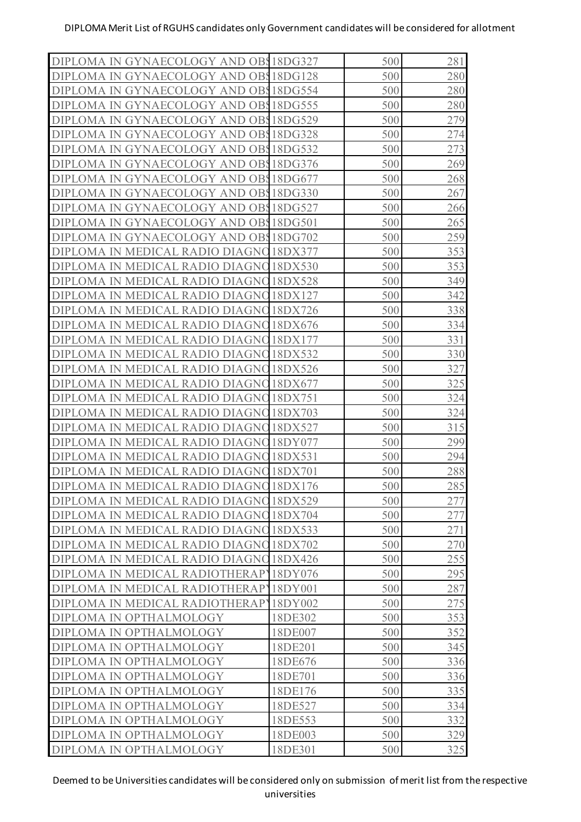| DIPLOMA IN GYNAECOLOGY AND OB 18DG327            |                    | 500        | 281 |
|--------------------------------------------------|--------------------|------------|-----|
| DIPLOMA IN GYNAECOLOGY AND OB 18DG128            |                    | 500        | 280 |
| DIPLOMA IN GYNAECOLOGY AND OB 18DG554            |                    | 500        | 280 |
| DIPLOMA IN GYNAECOLOGY AND OBS                   | 18DG555            | 500        | 280 |
| DIPLOMA IN GYNAECOLOGY AND OB 18DG529            |                    | 500        | 279 |
| DIPLOMA IN GYNAECOLOGY AND OBS                   | 18DG328            | 500        | 274 |
| GYNAECOLOGY AND OB 18DG532<br>DIPLOMA IN         |                    | 500        | 273 |
| DIPLOMA IN GYNAECOLOGY AND OBS                   | 18DG376            | 500        | 269 |
| DIPLOMA IN GYNAECOLOGY AND OB 18DG677            |                    | 500        | 268 |
| DIPLOMA IN GYNAECOLOGY AND OB 18DG330            |                    | 500        | 267 |
| GYNAECOLOGY AND OBS18DG527<br>DIPLOMA IN         |                    | 500        | 266 |
| DIPLOMA IN GYNAECOLOGY AND OBS                   | 18DG501            | 500        | 265 |
| DIPLOMA IN GYNAECOLOGY AND OB 18DG702            |                    | 500        | 259 |
| DIPLOMA IN MEDICAL RADIO DIAGNO                  | 18DX377            | 500        | 353 |
| DIPLOMA IN<br>MEDICAL RADIO DIAGNO               | 18DX530            | 500        | 353 |
| DIPLOMA IN MEDICAL RADIO DIAGNO                  | 18DX528            | 500        | 349 |
| DIPLOMA IN MEDICAL RADIO DIAGNO                  | 18DX127            | 500        | 342 |
| DIPLOMA IN MEDICAL RADIO DIAGNO                  | 18DX726            | 500        | 338 |
| <b>DIPLOMA IN</b><br>MEDICAL RADIO DIAGNO        | 18DX676            | 500        | 334 |
| DIPLOMA IN MEDICAL RADIO DIAGNO                  | 18DX177            | 500        | 331 |
| DIPLOMA IN MEDICAL RADIO DIAGNO                  | 18DX532            | 500        | 330 |
| DIPLOMA IN MEDICAL RADIO DIAGNO                  | 18DX526            | 500        | 327 |
| <b>DIPLOMA IN</b><br>MEDICAL RADIO DIAGNO        | 18DX677            | 500        | 325 |
| DIPLOMA IN MEDICAL RADIO DIAGNO                  | 18DX751            | 500        | 324 |
| DIPLOMA IN<br>MEDICAL RADIO DIAGNO               | 18DX703            | 500        | 324 |
| DIPLOMA IN<br>MEDICAL RADIO DIAGNO               | 18DX527            | 500        | 315 |
| <b>DIPLOMA</b><br>DIAGNO<br>-IN<br>MEDICAL RADIO | 18DY077            | 500        | 299 |
| <b>DIPLOMA IN</b><br>MEDICAL RADIO DIAGNO        | 18DX531            | 500        | 294 |
| DIPLOMA IN MEDICAL RADIO DIAGNO 18DX701          |                    | 500        | 288 |
| DIPLOMA IN MEDICAL RADIO DIAGNO 18DX176          |                    | 500        | 285 |
| DIPLOMA IN MEDICAL RADIO DIAGNO 18DX529          |                    | 500        | 277 |
| DIPLOMA IN MEDICAL RADIO DIAGNO 18DX704          |                    | 500        | 277 |
| DIPLOMA IN MEDICAL RADIO DIAGNO 18DX533          |                    | 500        | 271 |
| DIPLOMA IN MEDICAL RADIO DIAGNO                  | 18DX702            | 500        | 270 |
| DIPLOMA IN MEDICAL RADIO DIAGNO                  | 18DX426            | 500        | 255 |
| DIPLOMA IN MEDICAL RADIOTHERAPY                  | 18DY076            | 500        | 295 |
| DIPLOMA IN MEDICAL RADIOTHERAPY                  | 18DY001            | 500        | 287 |
| DIPLOMA IN MEDICAL RADIOTHERAPY                  | 18DY002            | 500        | 275 |
| DIPLOMA IN OPTHALMOLOGY                          | 18DE302            | 500        | 353 |
| DIPLOMA IN OPTHALMOLOGY                          | 18DE007            | 500        | 352 |
| DIPLOMA IN OPTHALMOLOGY                          | 18DE201            | 500        | 345 |
|                                                  | 18DE676            | 500        |     |
| DIPLOMA IN OPTHALMOLOGY                          |                    |            | 336 |
| DIPLOMA IN OPTHALMOLOGY                          | 18DE701<br>18DE176 | 500<br>500 | 336 |
| DIPLOMA IN OPTHALMOLOGY                          |                    |            | 335 |
| DIPLOMA IN OPTHALMOLOGY                          | 18DE527            | 500        | 334 |
| DIPLOMA IN OPTHALMOLOGY                          | 18DE553            | 500        | 332 |
| DIPLOMA IN OPTHALMOLOGY                          | 18DE003            | 500        | 329 |
| DIPLOMA IN OPTHALMOLOGY                          | 18DE301            | 500        | 325 |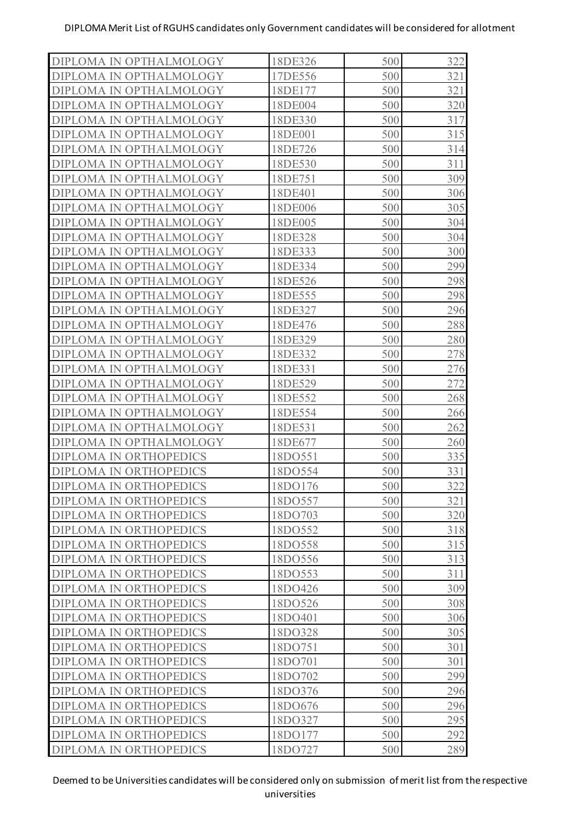| 500<br>17DE556<br>321<br>DIPLOMA IN OPTHALMOLOGY<br>500<br>321<br>18DE177<br>DIPLOMA IN OPTHALMOLOGY<br>500<br>320<br>18DE004<br>DIPLOMA IN OPTHALMOLOGY<br>500<br>317<br>DIPLOMA IN OPTHALMOLOGY<br>18DE330<br>500<br>315<br>18DE001<br>DIPLOMA IN OPTHALMOLOGY<br>500<br>18DE726<br>314<br>DIPLOMA IN OPTHALMOLOGY<br>500<br>18DE530<br>311<br>DIPLOMA IN OPTHALMOLOGY<br>500<br>309<br>DIPLOMA IN OPTHALMOLOGY<br>18DE751<br>500<br>306<br>18DE401<br>DIPLOMA IN OPTHALMOLOGY<br>18DE006<br>500<br>305<br>DIPLOMA IN OPTHALMOLOGY<br>500<br>18DE005<br>304<br>DIPLOMA IN OPTHALMOLOGY<br>500<br>304<br>DIPLOMA IN OPTHALMOLOGY<br>18DE328<br>500<br>300<br>18DE333<br>DIPLOMA IN OPTHALMOLOGY<br>299<br>18DE334<br>500<br>DIPLOMA IN OPTHALMOLOGY<br>500<br>298<br>18DE526<br>DIPLOMA IN OPTHALMOLOGY<br>500<br>298<br>DIPLOMA IN OPTHALMOLOGY<br>18DE555<br>500<br>296<br>18DE327<br>DIPLOMA IN OPTHALMOLOGY<br>18DE476<br>500<br>288<br>DIPLOMA IN OPTHALMOLOGY<br>500<br>18DE329<br>280<br>DIPLOMA IN OPTHALMOLOGY<br>500<br>278<br>DIPLOMA IN OPTHALMOLOGY<br>18DE332<br>500<br>276<br>18DE331<br>DIPLOMA IN OPTHALMOLOGY<br>272<br>18DE529<br>500<br>DIPLOMA IN OPTHALMOLOGY<br>500<br>18DE552<br>268<br>DIPLOMA IN OPTHALMOLOGY<br>500<br>DIPLOMA IN OPTHALMOLOGY<br>18DE554<br>266<br>500<br>18DE531<br>262<br>DIPLOMA IN OPTHALMOLOGY<br>18DE677<br>500<br>260<br>DIPLOMA IN OPTHALMOLOGY<br>500<br>18DO551<br>335<br><b>DIPLOMA IN ORTHOPEDICS</b><br>500<br>331<br>DIPLOMA IN ORTHOPEDICS<br>18DO554<br>500<br>322<br><b>DIPLOMA IN ORTHOPEDICS</b><br>18DO176<br>321<br><b>DIPLOMA IN ORTHOPEDICS</b><br>500<br>18DO557<br>18DO703<br>500<br>320<br><b>DIPLOMA IN ORTHOPEDICS</b><br>18DO552<br>500<br>318<br><b>DIPLOMA IN ORTHOPEDICS</b><br>18DO558<br>500<br>315<br><b>DIPLOMA IN ORTHOPEDICS</b><br>313<br>18DO556<br>500<br><b>DIPLOMA IN ORTHOPEDICS</b><br>18DO553<br>500<br>311<br><b>DIPLOMA IN ORTHOPEDICS</b><br>18DO426<br>500<br>309<br><b>DIPLOMA IN ORTHOPEDICS</b><br>18DO526<br>500<br>308<br><b>DIPLOMA IN ORTHOPEDICS</b><br>500<br><b>DIPLOMA IN ORTHOPEDICS</b><br>18DO401<br>306<br>18DO328<br>500<br>305<br><b>DIPLOMA IN ORTHOPEDICS</b><br>18DO751<br>500<br>301<br><b>DIPLOMA IN ORTHOPEDICS</b><br>18DO701<br>500<br>301<br><b>DIPLOMA IN ORTHOPEDICS</b><br>500<br>299<br><b>DIPLOMA IN ORTHOPEDICS</b><br>18DO702<br>296<br>18DO376<br>500<br><b>DIPLOMA IN ORTHOPEDICS</b><br>296<br>18DO676<br>500<br><b>DIPLOMA IN ORTHOPEDICS</b><br>18DO327<br>500<br>295<br><b>DIPLOMA IN ORTHOPEDICS</b><br>292<br>DIPLOMA IN ORTHOPEDICS<br>18DO177<br>500<br>DIPLOMA IN ORTHOPEDICS<br>18DO727<br>500<br>289 |                         |         |     |     |
|---------------------------------------------------------------------------------------------------------------------------------------------------------------------------------------------------------------------------------------------------------------------------------------------------------------------------------------------------------------------------------------------------------------------------------------------------------------------------------------------------------------------------------------------------------------------------------------------------------------------------------------------------------------------------------------------------------------------------------------------------------------------------------------------------------------------------------------------------------------------------------------------------------------------------------------------------------------------------------------------------------------------------------------------------------------------------------------------------------------------------------------------------------------------------------------------------------------------------------------------------------------------------------------------------------------------------------------------------------------------------------------------------------------------------------------------------------------------------------------------------------------------------------------------------------------------------------------------------------------------------------------------------------------------------------------------------------------------------------------------------------------------------------------------------------------------------------------------------------------------------------------------------------------------------------------------------------------------------------------------------------------------------------------------------------------------------------------------------------------------------------------------------------------------------------------------------------------------------------------------------------------------------------------------------------------------------------------------------------------------------------------------------------------------------------------------------------------------------------------------------------------------------------------------------------------------------------------------------------------------------------------------------|-------------------------|---------|-----|-----|
|                                                                                                                                                                                                                                                                                                                                                                                                                                                                                                                                                                                                                                                                                                                                                                                                                                                                                                                                                                                                                                                                                                                                                                                                                                                                                                                                                                                                                                                                                                                                                                                                                                                                                                                                                                                                                                                                                                                                                                                                                                                                                                                                                                                                                                                                                                                                                                                                                                                                                                                                                                                                                                                   | DIPLOMA IN OPTHALMOLOGY | 18DE326 | 500 | 322 |
|                                                                                                                                                                                                                                                                                                                                                                                                                                                                                                                                                                                                                                                                                                                                                                                                                                                                                                                                                                                                                                                                                                                                                                                                                                                                                                                                                                                                                                                                                                                                                                                                                                                                                                                                                                                                                                                                                                                                                                                                                                                                                                                                                                                                                                                                                                                                                                                                                                                                                                                                                                                                                                                   |                         |         |     |     |
|                                                                                                                                                                                                                                                                                                                                                                                                                                                                                                                                                                                                                                                                                                                                                                                                                                                                                                                                                                                                                                                                                                                                                                                                                                                                                                                                                                                                                                                                                                                                                                                                                                                                                                                                                                                                                                                                                                                                                                                                                                                                                                                                                                                                                                                                                                                                                                                                                                                                                                                                                                                                                                                   |                         |         |     |     |
|                                                                                                                                                                                                                                                                                                                                                                                                                                                                                                                                                                                                                                                                                                                                                                                                                                                                                                                                                                                                                                                                                                                                                                                                                                                                                                                                                                                                                                                                                                                                                                                                                                                                                                                                                                                                                                                                                                                                                                                                                                                                                                                                                                                                                                                                                                                                                                                                                                                                                                                                                                                                                                                   |                         |         |     |     |
|                                                                                                                                                                                                                                                                                                                                                                                                                                                                                                                                                                                                                                                                                                                                                                                                                                                                                                                                                                                                                                                                                                                                                                                                                                                                                                                                                                                                                                                                                                                                                                                                                                                                                                                                                                                                                                                                                                                                                                                                                                                                                                                                                                                                                                                                                                                                                                                                                                                                                                                                                                                                                                                   |                         |         |     |     |
|                                                                                                                                                                                                                                                                                                                                                                                                                                                                                                                                                                                                                                                                                                                                                                                                                                                                                                                                                                                                                                                                                                                                                                                                                                                                                                                                                                                                                                                                                                                                                                                                                                                                                                                                                                                                                                                                                                                                                                                                                                                                                                                                                                                                                                                                                                                                                                                                                                                                                                                                                                                                                                                   |                         |         |     |     |
|                                                                                                                                                                                                                                                                                                                                                                                                                                                                                                                                                                                                                                                                                                                                                                                                                                                                                                                                                                                                                                                                                                                                                                                                                                                                                                                                                                                                                                                                                                                                                                                                                                                                                                                                                                                                                                                                                                                                                                                                                                                                                                                                                                                                                                                                                                                                                                                                                                                                                                                                                                                                                                                   |                         |         |     |     |
|                                                                                                                                                                                                                                                                                                                                                                                                                                                                                                                                                                                                                                                                                                                                                                                                                                                                                                                                                                                                                                                                                                                                                                                                                                                                                                                                                                                                                                                                                                                                                                                                                                                                                                                                                                                                                                                                                                                                                                                                                                                                                                                                                                                                                                                                                                                                                                                                                                                                                                                                                                                                                                                   |                         |         |     |     |
|                                                                                                                                                                                                                                                                                                                                                                                                                                                                                                                                                                                                                                                                                                                                                                                                                                                                                                                                                                                                                                                                                                                                                                                                                                                                                                                                                                                                                                                                                                                                                                                                                                                                                                                                                                                                                                                                                                                                                                                                                                                                                                                                                                                                                                                                                                                                                                                                                                                                                                                                                                                                                                                   |                         |         |     |     |
|                                                                                                                                                                                                                                                                                                                                                                                                                                                                                                                                                                                                                                                                                                                                                                                                                                                                                                                                                                                                                                                                                                                                                                                                                                                                                                                                                                                                                                                                                                                                                                                                                                                                                                                                                                                                                                                                                                                                                                                                                                                                                                                                                                                                                                                                                                                                                                                                                                                                                                                                                                                                                                                   |                         |         |     |     |
|                                                                                                                                                                                                                                                                                                                                                                                                                                                                                                                                                                                                                                                                                                                                                                                                                                                                                                                                                                                                                                                                                                                                                                                                                                                                                                                                                                                                                                                                                                                                                                                                                                                                                                                                                                                                                                                                                                                                                                                                                                                                                                                                                                                                                                                                                                                                                                                                                                                                                                                                                                                                                                                   |                         |         |     |     |
|                                                                                                                                                                                                                                                                                                                                                                                                                                                                                                                                                                                                                                                                                                                                                                                                                                                                                                                                                                                                                                                                                                                                                                                                                                                                                                                                                                                                                                                                                                                                                                                                                                                                                                                                                                                                                                                                                                                                                                                                                                                                                                                                                                                                                                                                                                                                                                                                                                                                                                                                                                                                                                                   |                         |         |     |     |
|                                                                                                                                                                                                                                                                                                                                                                                                                                                                                                                                                                                                                                                                                                                                                                                                                                                                                                                                                                                                                                                                                                                                                                                                                                                                                                                                                                                                                                                                                                                                                                                                                                                                                                                                                                                                                                                                                                                                                                                                                                                                                                                                                                                                                                                                                                                                                                                                                                                                                                                                                                                                                                                   |                         |         |     |     |
|                                                                                                                                                                                                                                                                                                                                                                                                                                                                                                                                                                                                                                                                                                                                                                                                                                                                                                                                                                                                                                                                                                                                                                                                                                                                                                                                                                                                                                                                                                                                                                                                                                                                                                                                                                                                                                                                                                                                                                                                                                                                                                                                                                                                                                                                                                                                                                                                                                                                                                                                                                                                                                                   |                         |         |     |     |
|                                                                                                                                                                                                                                                                                                                                                                                                                                                                                                                                                                                                                                                                                                                                                                                                                                                                                                                                                                                                                                                                                                                                                                                                                                                                                                                                                                                                                                                                                                                                                                                                                                                                                                                                                                                                                                                                                                                                                                                                                                                                                                                                                                                                                                                                                                                                                                                                                                                                                                                                                                                                                                                   |                         |         |     |     |
|                                                                                                                                                                                                                                                                                                                                                                                                                                                                                                                                                                                                                                                                                                                                                                                                                                                                                                                                                                                                                                                                                                                                                                                                                                                                                                                                                                                                                                                                                                                                                                                                                                                                                                                                                                                                                                                                                                                                                                                                                                                                                                                                                                                                                                                                                                                                                                                                                                                                                                                                                                                                                                                   |                         |         |     |     |
|                                                                                                                                                                                                                                                                                                                                                                                                                                                                                                                                                                                                                                                                                                                                                                                                                                                                                                                                                                                                                                                                                                                                                                                                                                                                                                                                                                                                                                                                                                                                                                                                                                                                                                                                                                                                                                                                                                                                                                                                                                                                                                                                                                                                                                                                                                                                                                                                                                                                                                                                                                                                                                                   |                         |         |     |     |
|                                                                                                                                                                                                                                                                                                                                                                                                                                                                                                                                                                                                                                                                                                                                                                                                                                                                                                                                                                                                                                                                                                                                                                                                                                                                                                                                                                                                                                                                                                                                                                                                                                                                                                                                                                                                                                                                                                                                                                                                                                                                                                                                                                                                                                                                                                                                                                                                                                                                                                                                                                                                                                                   |                         |         |     |     |
|                                                                                                                                                                                                                                                                                                                                                                                                                                                                                                                                                                                                                                                                                                                                                                                                                                                                                                                                                                                                                                                                                                                                                                                                                                                                                                                                                                                                                                                                                                                                                                                                                                                                                                                                                                                                                                                                                                                                                                                                                                                                                                                                                                                                                                                                                                                                                                                                                                                                                                                                                                                                                                                   |                         |         |     |     |
|                                                                                                                                                                                                                                                                                                                                                                                                                                                                                                                                                                                                                                                                                                                                                                                                                                                                                                                                                                                                                                                                                                                                                                                                                                                                                                                                                                                                                                                                                                                                                                                                                                                                                                                                                                                                                                                                                                                                                                                                                                                                                                                                                                                                                                                                                                                                                                                                                                                                                                                                                                                                                                                   |                         |         |     |     |
|                                                                                                                                                                                                                                                                                                                                                                                                                                                                                                                                                                                                                                                                                                                                                                                                                                                                                                                                                                                                                                                                                                                                                                                                                                                                                                                                                                                                                                                                                                                                                                                                                                                                                                                                                                                                                                                                                                                                                                                                                                                                                                                                                                                                                                                                                                                                                                                                                                                                                                                                                                                                                                                   |                         |         |     |     |
|                                                                                                                                                                                                                                                                                                                                                                                                                                                                                                                                                                                                                                                                                                                                                                                                                                                                                                                                                                                                                                                                                                                                                                                                                                                                                                                                                                                                                                                                                                                                                                                                                                                                                                                                                                                                                                                                                                                                                                                                                                                                                                                                                                                                                                                                                                                                                                                                                                                                                                                                                                                                                                                   |                         |         |     |     |
|                                                                                                                                                                                                                                                                                                                                                                                                                                                                                                                                                                                                                                                                                                                                                                                                                                                                                                                                                                                                                                                                                                                                                                                                                                                                                                                                                                                                                                                                                                                                                                                                                                                                                                                                                                                                                                                                                                                                                                                                                                                                                                                                                                                                                                                                                                                                                                                                                                                                                                                                                                                                                                                   |                         |         |     |     |
|                                                                                                                                                                                                                                                                                                                                                                                                                                                                                                                                                                                                                                                                                                                                                                                                                                                                                                                                                                                                                                                                                                                                                                                                                                                                                                                                                                                                                                                                                                                                                                                                                                                                                                                                                                                                                                                                                                                                                                                                                                                                                                                                                                                                                                                                                                                                                                                                                                                                                                                                                                                                                                                   |                         |         |     |     |
|                                                                                                                                                                                                                                                                                                                                                                                                                                                                                                                                                                                                                                                                                                                                                                                                                                                                                                                                                                                                                                                                                                                                                                                                                                                                                                                                                                                                                                                                                                                                                                                                                                                                                                                                                                                                                                                                                                                                                                                                                                                                                                                                                                                                                                                                                                                                                                                                                                                                                                                                                                                                                                                   |                         |         |     |     |
|                                                                                                                                                                                                                                                                                                                                                                                                                                                                                                                                                                                                                                                                                                                                                                                                                                                                                                                                                                                                                                                                                                                                                                                                                                                                                                                                                                                                                                                                                                                                                                                                                                                                                                                                                                                                                                                                                                                                                                                                                                                                                                                                                                                                                                                                                                                                                                                                                                                                                                                                                                                                                                                   |                         |         |     |     |
|                                                                                                                                                                                                                                                                                                                                                                                                                                                                                                                                                                                                                                                                                                                                                                                                                                                                                                                                                                                                                                                                                                                                                                                                                                                                                                                                                                                                                                                                                                                                                                                                                                                                                                                                                                                                                                                                                                                                                                                                                                                                                                                                                                                                                                                                                                                                                                                                                                                                                                                                                                                                                                                   |                         |         |     |     |
|                                                                                                                                                                                                                                                                                                                                                                                                                                                                                                                                                                                                                                                                                                                                                                                                                                                                                                                                                                                                                                                                                                                                                                                                                                                                                                                                                                                                                                                                                                                                                                                                                                                                                                                                                                                                                                                                                                                                                                                                                                                                                                                                                                                                                                                                                                                                                                                                                                                                                                                                                                                                                                                   |                         |         |     |     |
|                                                                                                                                                                                                                                                                                                                                                                                                                                                                                                                                                                                                                                                                                                                                                                                                                                                                                                                                                                                                                                                                                                                                                                                                                                                                                                                                                                                                                                                                                                                                                                                                                                                                                                                                                                                                                                                                                                                                                                                                                                                                                                                                                                                                                                                                                                                                                                                                                                                                                                                                                                                                                                                   |                         |         |     |     |
|                                                                                                                                                                                                                                                                                                                                                                                                                                                                                                                                                                                                                                                                                                                                                                                                                                                                                                                                                                                                                                                                                                                                                                                                                                                                                                                                                                                                                                                                                                                                                                                                                                                                                                                                                                                                                                                                                                                                                                                                                                                                                                                                                                                                                                                                                                                                                                                                                                                                                                                                                                                                                                                   |                         |         |     |     |
|                                                                                                                                                                                                                                                                                                                                                                                                                                                                                                                                                                                                                                                                                                                                                                                                                                                                                                                                                                                                                                                                                                                                                                                                                                                                                                                                                                                                                                                                                                                                                                                                                                                                                                                                                                                                                                                                                                                                                                                                                                                                                                                                                                                                                                                                                                                                                                                                                                                                                                                                                                                                                                                   |                         |         |     |     |
|                                                                                                                                                                                                                                                                                                                                                                                                                                                                                                                                                                                                                                                                                                                                                                                                                                                                                                                                                                                                                                                                                                                                                                                                                                                                                                                                                                                                                                                                                                                                                                                                                                                                                                                                                                                                                                                                                                                                                                                                                                                                                                                                                                                                                                                                                                                                                                                                                                                                                                                                                                                                                                                   |                         |         |     |     |
|                                                                                                                                                                                                                                                                                                                                                                                                                                                                                                                                                                                                                                                                                                                                                                                                                                                                                                                                                                                                                                                                                                                                                                                                                                                                                                                                                                                                                                                                                                                                                                                                                                                                                                                                                                                                                                                                                                                                                                                                                                                                                                                                                                                                                                                                                                                                                                                                                                                                                                                                                                                                                                                   |                         |         |     |     |
|                                                                                                                                                                                                                                                                                                                                                                                                                                                                                                                                                                                                                                                                                                                                                                                                                                                                                                                                                                                                                                                                                                                                                                                                                                                                                                                                                                                                                                                                                                                                                                                                                                                                                                                                                                                                                                                                                                                                                                                                                                                                                                                                                                                                                                                                                                                                                                                                                                                                                                                                                                                                                                                   |                         |         |     |     |
|                                                                                                                                                                                                                                                                                                                                                                                                                                                                                                                                                                                                                                                                                                                                                                                                                                                                                                                                                                                                                                                                                                                                                                                                                                                                                                                                                                                                                                                                                                                                                                                                                                                                                                                                                                                                                                                                                                                                                                                                                                                                                                                                                                                                                                                                                                                                                                                                                                                                                                                                                                                                                                                   |                         |         |     |     |
|                                                                                                                                                                                                                                                                                                                                                                                                                                                                                                                                                                                                                                                                                                                                                                                                                                                                                                                                                                                                                                                                                                                                                                                                                                                                                                                                                                                                                                                                                                                                                                                                                                                                                                                                                                                                                                                                                                                                                                                                                                                                                                                                                                                                                                                                                                                                                                                                                                                                                                                                                                                                                                                   |                         |         |     |     |
|                                                                                                                                                                                                                                                                                                                                                                                                                                                                                                                                                                                                                                                                                                                                                                                                                                                                                                                                                                                                                                                                                                                                                                                                                                                                                                                                                                                                                                                                                                                                                                                                                                                                                                                                                                                                                                                                                                                                                                                                                                                                                                                                                                                                                                                                                                                                                                                                                                                                                                                                                                                                                                                   |                         |         |     |     |
|                                                                                                                                                                                                                                                                                                                                                                                                                                                                                                                                                                                                                                                                                                                                                                                                                                                                                                                                                                                                                                                                                                                                                                                                                                                                                                                                                                                                                                                                                                                                                                                                                                                                                                                                                                                                                                                                                                                                                                                                                                                                                                                                                                                                                                                                                                                                                                                                                                                                                                                                                                                                                                                   |                         |         |     |     |
|                                                                                                                                                                                                                                                                                                                                                                                                                                                                                                                                                                                                                                                                                                                                                                                                                                                                                                                                                                                                                                                                                                                                                                                                                                                                                                                                                                                                                                                                                                                                                                                                                                                                                                                                                                                                                                                                                                                                                                                                                                                                                                                                                                                                                                                                                                                                                                                                                                                                                                                                                                                                                                                   |                         |         |     |     |
|                                                                                                                                                                                                                                                                                                                                                                                                                                                                                                                                                                                                                                                                                                                                                                                                                                                                                                                                                                                                                                                                                                                                                                                                                                                                                                                                                                                                                                                                                                                                                                                                                                                                                                                                                                                                                                                                                                                                                                                                                                                                                                                                                                                                                                                                                                                                                                                                                                                                                                                                                                                                                                                   |                         |         |     |     |
|                                                                                                                                                                                                                                                                                                                                                                                                                                                                                                                                                                                                                                                                                                                                                                                                                                                                                                                                                                                                                                                                                                                                                                                                                                                                                                                                                                                                                                                                                                                                                                                                                                                                                                                                                                                                                                                                                                                                                                                                                                                                                                                                                                                                                                                                                                                                                                                                                                                                                                                                                                                                                                                   |                         |         |     |     |
|                                                                                                                                                                                                                                                                                                                                                                                                                                                                                                                                                                                                                                                                                                                                                                                                                                                                                                                                                                                                                                                                                                                                                                                                                                                                                                                                                                                                                                                                                                                                                                                                                                                                                                                                                                                                                                                                                                                                                                                                                                                                                                                                                                                                                                                                                                                                                                                                                                                                                                                                                                                                                                                   |                         |         |     |     |
|                                                                                                                                                                                                                                                                                                                                                                                                                                                                                                                                                                                                                                                                                                                                                                                                                                                                                                                                                                                                                                                                                                                                                                                                                                                                                                                                                                                                                                                                                                                                                                                                                                                                                                                                                                                                                                                                                                                                                                                                                                                                                                                                                                                                                                                                                                                                                                                                                                                                                                                                                                                                                                                   |                         |         |     |     |
|                                                                                                                                                                                                                                                                                                                                                                                                                                                                                                                                                                                                                                                                                                                                                                                                                                                                                                                                                                                                                                                                                                                                                                                                                                                                                                                                                                                                                                                                                                                                                                                                                                                                                                                                                                                                                                                                                                                                                                                                                                                                                                                                                                                                                                                                                                                                                                                                                                                                                                                                                                                                                                                   |                         |         |     |     |
|                                                                                                                                                                                                                                                                                                                                                                                                                                                                                                                                                                                                                                                                                                                                                                                                                                                                                                                                                                                                                                                                                                                                                                                                                                                                                                                                                                                                                                                                                                                                                                                                                                                                                                                                                                                                                                                                                                                                                                                                                                                                                                                                                                                                                                                                                                                                                                                                                                                                                                                                                                                                                                                   |                         |         |     |     |
|                                                                                                                                                                                                                                                                                                                                                                                                                                                                                                                                                                                                                                                                                                                                                                                                                                                                                                                                                                                                                                                                                                                                                                                                                                                                                                                                                                                                                                                                                                                                                                                                                                                                                                                                                                                                                                                                                                                                                                                                                                                                                                                                                                                                                                                                                                                                                                                                                                                                                                                                                                                                                                                   |                         |         |     |     |
|                                                                                                                                                                                                                                                                                                                                                                                                                                                                                                                                                                                                                                                                                                                                                                                                                                                                                                                                                                                                                                                                                                                                                                                                                                                                                                                                                                                                                                                                                                                                                                                                                                                                                                                                                                                                                                                                                                                                                                                                                                                                                                                                                                                                                                                                                                                                                                                                                                                                                                                                                                                                                                                   |                         |         |     |     |
|                                                                                                                                                                                                                                                                                                                                                                                                                                                                                                                                                                                                                                                                                                                                                                                                                                                                                                                                                                                                                                                                                                                                                                                                                                                                                                                                                                                                                                                                                                                                                                                                                                                                                                                                                                                                                                                                                                                                                                                                                                                                                                                                                                                                                                                                                                                                                                                                                                                                                                                                                                                                                                                   |                         |         |     |     |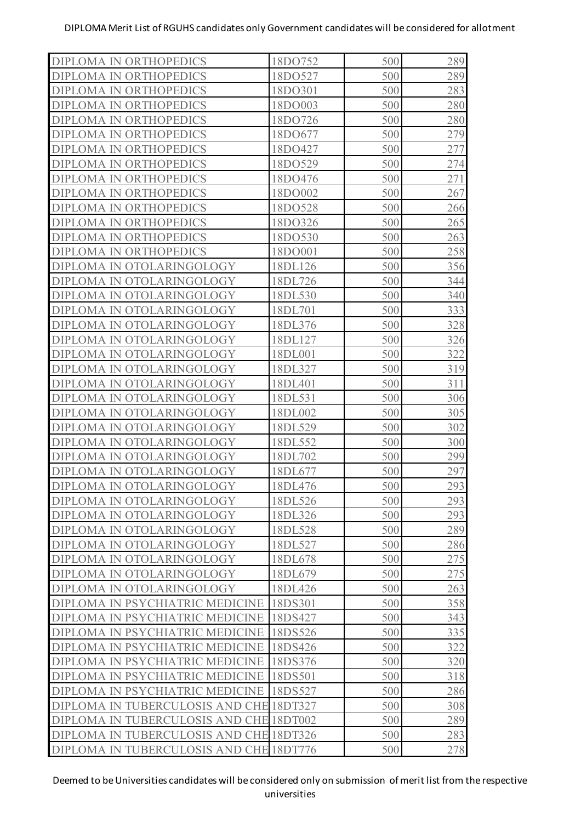| <b>DIPLOMA IN ORTHOPEDICS</b>                     | 18DO752 | 500 | 289 |
|---------------------------------------------------|---------|-----|-----|
| DIPLOMA IN ORTHOPEDICS                            | 18DO527 | 500 | 289 |
| <b>DIPLOMA IN ORTHOPEDICS</b>                     | 18DO301 | 500 | 283 |
| DIPLOMA IN ORTHOPEDICS                            | 18DO003 | 500 | 280 |
| <b>DIPLOMA IN ORTHOPEDICS</b>                     | 18DO726 | 500 | 280 |
| DIPLOMA IN ORTHOPEDICS                            | 18DO677 | 500 | 279 |
| <b>DIPLOMA IN ORTHOPEDICS</b>                     | 18DO427 | 500 | 277 |
| <b>DIPLOMA IN ORTHOPEDICS</b>                     | 18DO529 | 500 | 274 |
| <b>DIPLOMA IN ORTHOPEDICS</b>                     | 18DO476 | 500 | 271 |
| <b>DIPLOMA IN ORTHOPEDICS</b>                     | 18DO002 | 500 | 267 |
| <b>DIPLOMA IN ORTHOPEDICS</b>                     | 18DO528 | 500 | 266 |
| <b>DIPLOMA IN ORTHOPEDICS</b>                     | 18DO326 | 500 | 265 |
| DIPLOMA IN ORTHOPEDICS                            | 18DO530 | 500 | 263 |
| DIPLOMA IN ORTHOPEDICS                            | 18DO001 | 500 | 258 |
| DIPLOMA IN OTOLARINGOLOGY                         | 18DL126 | 500 | 356 |
| DIPLOMA IN OTOLARINGOLOGY                         | 18DL726 | 500 | 344 |
| DIPLOMA IN OTOLARINGOLOGY                         | 18DL530 | 500 | 340 |
| DIPLOMA IN OTOLARINGOLOGY                         | 18DL701 | 500 | 333 |
| DIPLOMA IN OTOLARINGOLOGY                         | 18DL376 | 500 | 328 |
| DIPLOMA IN OTOLARINGOLOGY                         | 18DL127 | 500 | 326 |
| DIPLOMA IN OTOLARINGOLOGY                         | 18DL001 | 500 | 322 |
| DIPLOMA IN OTOLARINGOLOGY                         | 18DL327 | 500 | 319 |
| DIPLOMA IN OTOLARINGOLOGY                         | 18DL401 | 500 | 311 |
| DIPLOMA IN OTOLARINGOLOGY                         | 18DL531 | 500 | 306 |
| DIPLOMA IN OTOLARINGOLOGY                         | 18DL002 | 500 | 305 |
| DIPLOMA IN OTOLARINGOLOGY                         | 18DL529 | 500 | 302 |
| DIPLOMA IN OTOLARINGOLOGY                         | 18DL552 | 500 | 300 |
| DIPLOMA IN OTOLARINGOLOGY                         | 18DL702 | 500 | 299 |
| DIPLOMA IN OTOLARINGOLOGY                         | 18DL677 | 500 | 297 |
| DIPLOMA IN OTOLARINGOLOGY                         | 18DL476 | 500 | 293 |
| DIPLOMA IN OTOLARINGOLOGY                         | 18DL526 | 500 | 293 |
| DIPLOMA IN OTOLARINGOLOGY                         | 18DL326 | 500 | 293 |
| DIPLOMA IN OTOLARINGOLOGY                         | 18DL528 | 500 | 289 |
| DIPLOMA IN OTOLARINGOLOGY                         | 18DL527 | 500 | 286 |
| DIPLOMA IN OTOLARINGOLOGY                         | 18DL678 | 500 | 275 |
| DIPLOMA IN OTOLARINGOLOGY                         | 18DL679 | 500 | 275 |
| DIPLOMA IN OTOLARINGOLOGY                         | 18DL426 | 500 | 263 |
| DIPLOMA IN PSYCHIATRIC MEDICINE                   | 18DS301 | 500 | 358 |
| DIPLOMA IN PSYCHIATRIC MEDICINE                   | 18DS427 | 500 | 343 |
| DIPLOMA IN PSYCHIATRIC MEDICINE                   | 18DS526 | 500 | 335 |
| DIPLOMA IN PSYCHIATRIC MEDICINE                   | 18DS426 | 500 | 322 |
| DIPLOMA IN PSYCHIATRIC MEDICINE                   | 18DS376 | 500 | 320 |
| DIPLOMA IN PSYCHIATRIC MEDICINE                   | 18DS501 | 500 | 318 |
| DIPLOMA IN PSYCHIATRIC MEDICINE                   | 18DS527 | 500 | 286 |
| DIPLOMA IN TUBERCULOSIS AND CHE                   | 18DT327 | 500 | 308 |
| <b>TUBERCULOSIS AND CHE 18DT002</b><br>DIPLOMA IN |         | 500 | 289 |
| DIPLOMA IN TUBERCULOSIS AND CHE 18DT326           |         | 500 | 283 |
| DIPLOMA IN TUBERCULOSIS AND CHE 18DT776           |         | 500 | 278 |